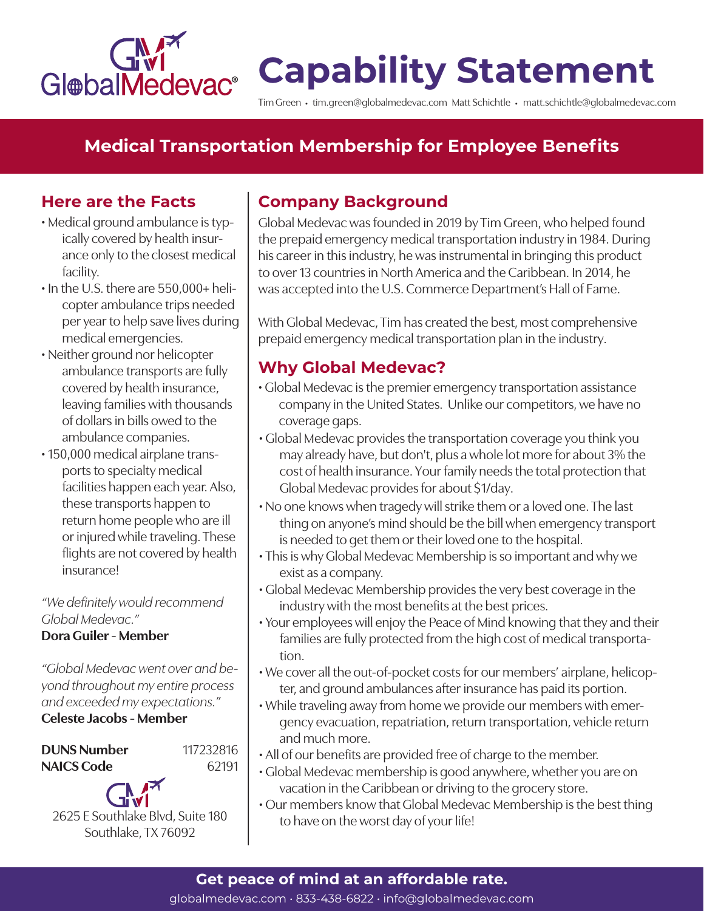

# **Capability Statement**

Tim Green • tim.green@globalmedevac.com Matt Schichtle • matt.schichtle@globalmedevac.com

# **Medical Transportation Membership for Employee Benefits**

### **Here are the Facts**

- Medical ground ambulance is typically covered by health insurance only to the closest medical facility.
- In the U.S. there are 550,000+ helicopter ambulance trips needed per year to help save lives during medical emergencies.
- Neither ground nor helicopter ambulance transports are fully covered by health insurance, leaving families with thousands of dollars in bills owed to the ambulance companies.
- 150,000 medical airplane transports to specialty medical facilities happen each year. Also, these transports happen to return home people who are ill or injured while traveling. These flights are not covered by health insurance!

#### *"We definitely would recommend Global Medevac."* **Dora Guiler - Member**

*"Global Medevac went over and beyond throughout my entire process and exceeded my expectations."*

### **Celeste Jacobs - Member**

**DUNS Number NAICS Code** 117232816 62191

2625 E Southlake Blvd, Suite 180 Southlake, TX 76092

# **Company Background**

Global Medevac was founded in 2019 by Tim Green, who helped found the prepaid emergency medical transportation industry in 1984. During his career in this industry, he was instrumental in bringing this product to over 13 countries in North America and the Caribbean. In 2014, he was accepted into the U.S. Commerce Department's Hall of Fame.

With Global Medevac, Tim has created the best, most comprehensive prepaid emergency medical transportation plan in the industry.

# **Why Global Medevac?**

- Global Medevac is the premier emergency transportation assistance company in the United States. Unlike our competitors, we have no coverage gaps.
- Global Medevac provides the transportation coverage you think you may already have, but don't, plus a whole lot more for about 3% the cost of health insurance. Your family needs the total protection that Global Medevac provides for about \$1/day.
- No one knows when tragedy will strike them or a loved one. The last thing on anyone's mind should be the bill when emergency transport is needed to get them or their loved one to the hospital.
- This is why Global Medevac Membership is so important and why we exist as a company.
- Global Medevac Membership provides the very best coverage in the industry with the most benefits at the best prices.
- Your employees will enjoy the Peace of Mind knowing that they and their families are fully protected from the high cost of medical transportation.
- We cover all the out-of-pocket costs for our members' airplane, helicopter, and ground ambulances after insurance has paid its portion.
- While traveling away from home we provide our members with emergency evacuation, repatriation, return transportation, vehicle return and much more.
- All of our benefits are provided free of charge to the member.
- Global Medevac membership is good anywhere, whether you are on vacation in the Caribbean or driving to the grocery store.
- Our members know that Global Medevac Membership is the best thing to have on the worst day of your life!

## **Get peace of mind at an affordable rate.**

globalmedevac.com • 833-438-6822 • info@globalmedevac.com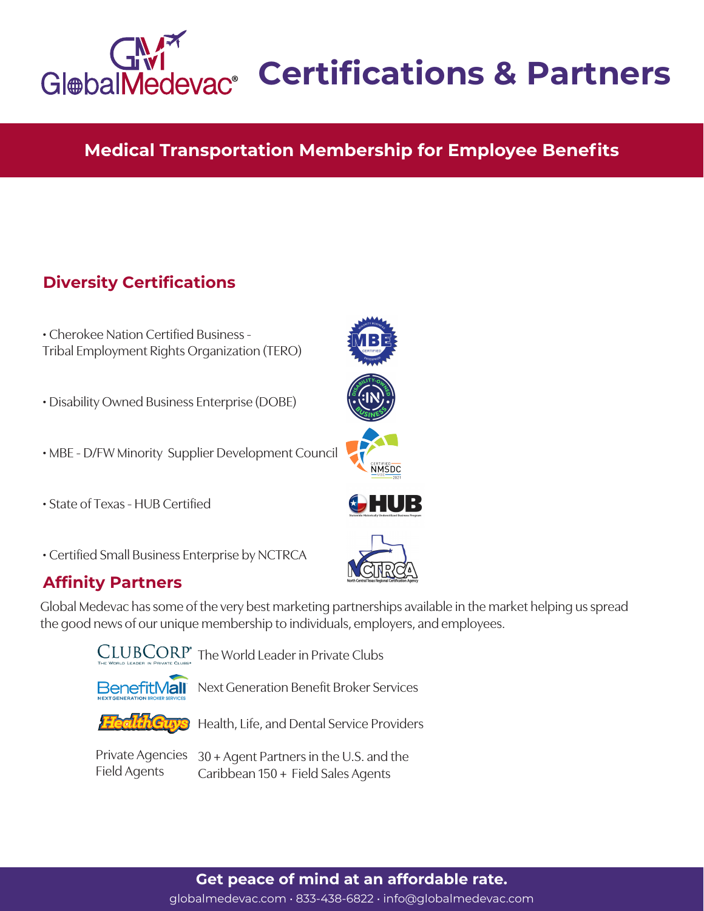

# **Certifications & Partners**

# **Medical Transportation Membership for Employee Benefits**

# **Diversity Certifications**

| • Cherokee Nation Certified Business -       |  |
|----------------------------------------------|--|
| Tribal Employment Rights Organization (TERO) |  |

- Disability Owned Business Enterprise (DOBE)
- MBE D/FW Minority Supplier Development Council
- State of Texas HUB Certified
- Certified Small Business Enterprise by NCTRCA

### **Affinity Partners**

Global Medevac has some of the very best marketing partnerships available in the market helping us spread the good news of our unique membership to individuals, employers, and employees.



CLUBCORP<sup>®</sup> The World Leader in Private Clubs



**BenefitMall** Next Generation Benefit Broker Services



Health, Life, and Dental Service Providers

Field Agents

Private Agencies 30 + Agent Partners in the U.S. and the Caribbean 150 + Field Sales Agents

# **NMSDC** HUB



globalmedevac.com • 833-438-6822 • info@globalmedevac.com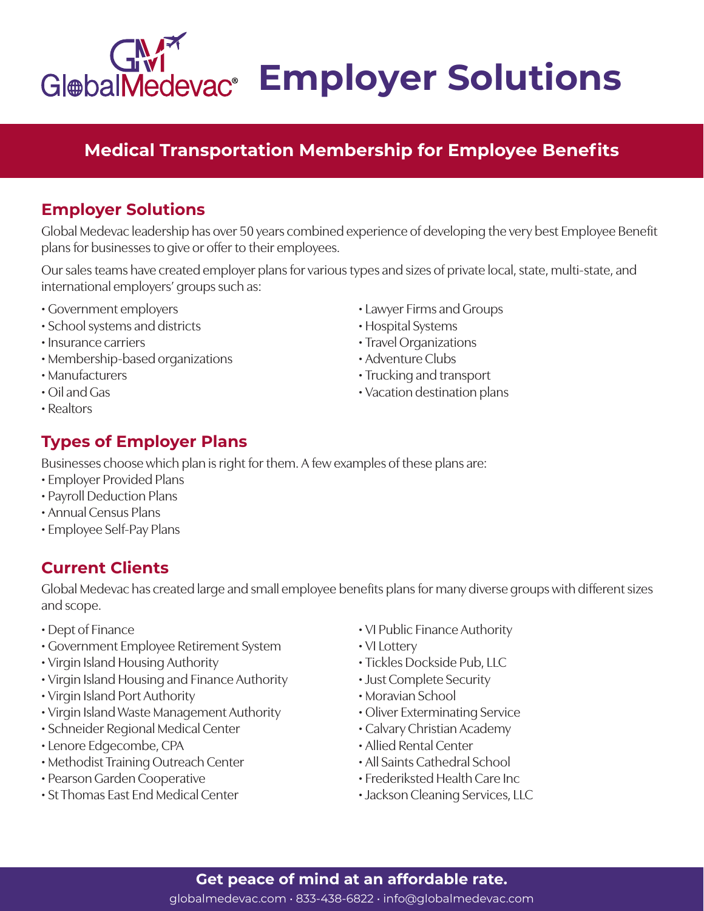# **GlebalMedevac<sup>®</sup> Employer Solutions**

# **Medical Transportation Membership for Employee Benefits**

## **Employer Solutions**

Global Medevac leadership has over 50 years combined experience of developing the very best Employee Benefit plans for businesses to give or offer to their employees.

Our sales teams have created employer plans for various types and sizes of private local, state, multi-state, and international employers' groups such as:

- Government employers
- School systems and districts
- Insurance carriers
- Membership-based organizations
- Manufacturers
- Oil and Gas
- Realtors

# **Types of Employer Plans**

Businesses choose which plan is right for them. A few examples of these plans are:

- Employer Provided Plans
- Payroll Deduction Plans
- Annual Census Plans
- Employee Self-Pay Plans

# **Current Clients**

Global Medevac has created large and small employee benefits plans for many diverse groups with different sizes and scope.

- Dept of Finance
- Government Employee Retirement System
- Virgin Island Housing Authority
- Virgin Island Housing and Finance Authority
- Virgin Island Port Authority
- Virgin Island Waste Management Authority
- Schneider Regional Medical Center
- Lenore Edgecombe, CPA
- Methodist Training Outreach Center
- Pearson Garden Cooperative
- St Thomas East End Medical Center

• VI Public Finance Authority

• Lawyer Firms and Groups

• Trucking and transport • Vacation destination plans

• Hospital Systems • Travel Organizations • Adventure Clubs

- VI Lottery
- Tickles Dockside Pub, LLC
- Just Complete Security
- Moravian School
- Oliver Exterminating Service
- Calvary Christian Academy
- Allied Rental Center
- All Saints Cathedral School
- Frederiksted Health Care Inc
- Jackson Cleaning Services, LLC